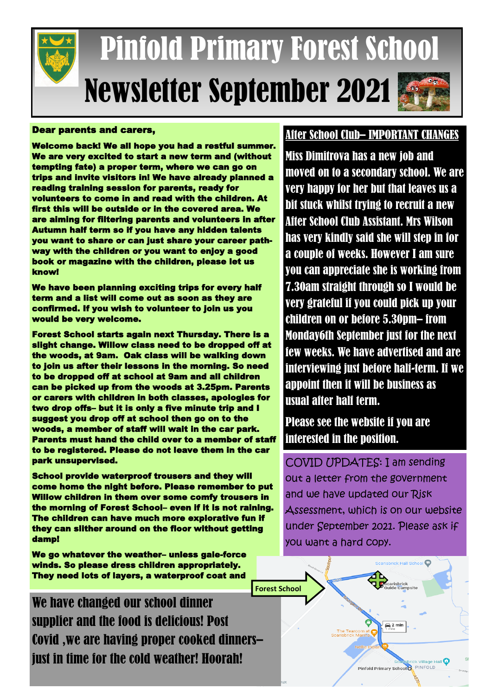

# Pinfold Primary Forest School Newsletter September 2021

#### Dear parents and carers,

Welcome back! We all hope you had a restful summer. We are very excited to start a new term and (without tempting fate) a proper term, where we can go on trips and invite visitors in! We have already planned a reading training session for parents, ready for volunteers to come in and read with the children. At first this will be outside or in the covered area. We are aiming for filtering parents and volunteers in after Autumn half term so if you have any hidden talents you want to share or can just share your career pathway with the children or you want to enjoy a good book or magazine with the children, please let us know!

We have been planning exciting trips for every half term and a list will come out as soon as they are confirmed. If you wish to volunteer to join us you would be very welcome.

Forest School starts again next Thursday. There is a slight change. Willow class need to be dropped off at the woods, at 9am. Oak class will be walking down to join us after their lessons in the morning. So need to be dropped off at school at 9am and all children can be picked up from the woods at 3.25pm. Parents or carers with children in both classes, apologies for two drop offs– but it is only a five minute trip and I suggest you drop off at school then go on to the woods, a member of staff will wait in the car park. Parents must hand the child over to a member of staff to be registered. Please do not leave them in the car park unsupervised.

School provide waterproof trousers and they will come home the night before. Please remember to put Willow children in them over some comfy trousers in the morning of Forest School– even if it is not raining. The children can have much more explorative fun if they can slither around on the floor without getting damp!

We go whatever the weather– unless gale-force winds. So please dress children appropriately. They need lots of layers, a waterproof coat and

We have changed our school dinner supplier and the food is delicious! Post Covid ,we are having proper cooked dinners– just in time for the cold weather! Hoorah!

#### After School Club– IMPORTANT CHANGES

Miss Dimitrova has a new job and moved on to a secondary school. We are very happy for her but that leaves us a bit stuck whilst trying to recruit a new After School Club Assistant. Mrs Wilson has very kindly said she will step in for a couple of weeks. However I am sure you can appreciate she is working from 7.30am straight through so I would be very grateful if you could pick up your children on or before 5.30pm– from Monday6th September just for the next few weeks. We have advertised and are interviewing just before half-term. If we appoint then it will be business as usual after half term.

### Please see the website if you are interested in the position.

COVID UPDATES: I am sending out a letter from the government and we have updated our Risk Assessment, which is on our website under September 2021. Please ask if you want a hard copy.